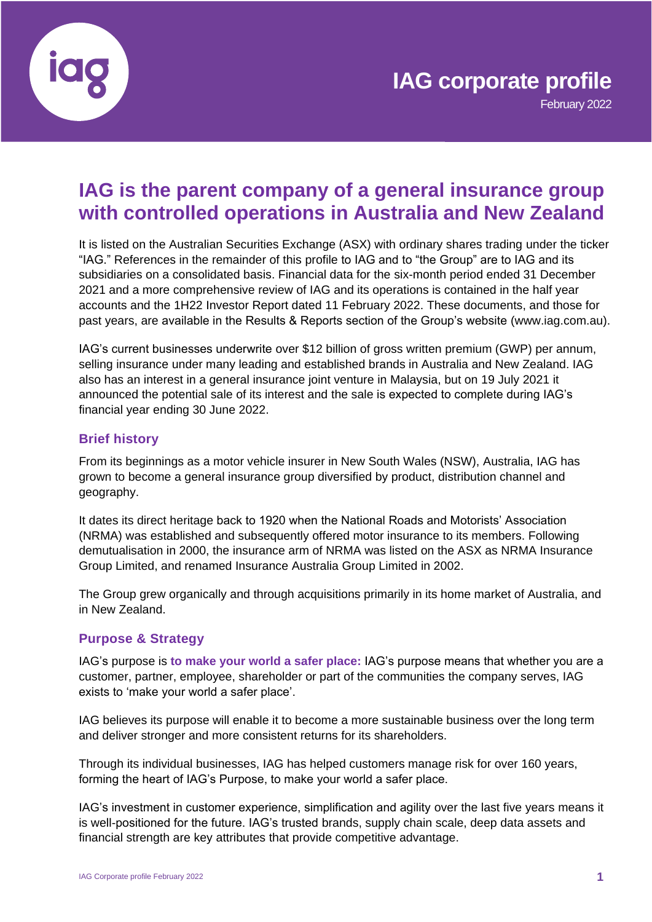

February 2022

# **IAG is the parent company of a general insurance group with controlled operations in Australia and New Zealand**

It is listed on the Australian Securities Exchange (ASX) with ordinary shares trading under the ticker "IAG." References in the remainder of this profile to IAG and to "the Group" are to IAG and its subsidiaries on a consolidated basis. Financial data for the six-month period ended 31 December 2021 and a more comprehensive review of IAG and its operations is contained in the half year accounts and the 1H22 Investor Report dated 11 February 2022. These documents, and those for past years, are available in the Results & Reports section of the Group's website (www.iag.com.au).

IAG's current businesses underwrite over \$12 billion of gross written premium (GWP) per annum, selling insurance under many leading and established brands in Australia and New Zealand. IAG also has an interest in a general insurance joint venture in Malaysia, but on 19 July 2021 it announced the potential sale of its interest and the sale is expected to complete during IAG's financial year ending 30 June 2022.

# **Brief history**

From its beginnings as a motor vehicle insurer in New South Wales (NSW), Australia, IAG has grown to become a general insurance group diversified by product, distribution channel and geography.

It dates its direct heritage back to 1920 when the National Roads and Motorists' Association (NRMA) was established and subsequently offered motor insurance to its members. Following demutualisation in 2000, the insurance arm of NRMA was listed on the ASX as NRMA Insurance Group Limited, and renamed Insurance Australia Group Limited in 2002.

The Group grew organically and through acquisitions primarily in its home market of Australia, and in New Zealand.

# **Purpose & Strategy**

IAG's purpose is **to make your world a safer place:** IAG's purpose means that whether you are a customer, partner, employee, shareholder or part of the communities the company serves, IAG exists to 'make your world a safer place'.

IAG believes its purpose will enable it to become a more sustainable business over the long term and deliver stronger and more consistent returns for its shareholders.

Through its individual businesses, IAG has helped customers manage risk for over 160 years, forming the heart of IAG's Purpose, to make your world a safer place.

IAG's investment in customer experience, simplification and agility over the last five years means it is well-positioned for the future. IAG's trusted brands, supply chain scale, deep data assets and financial strength are key attributes that provide competitive advantage.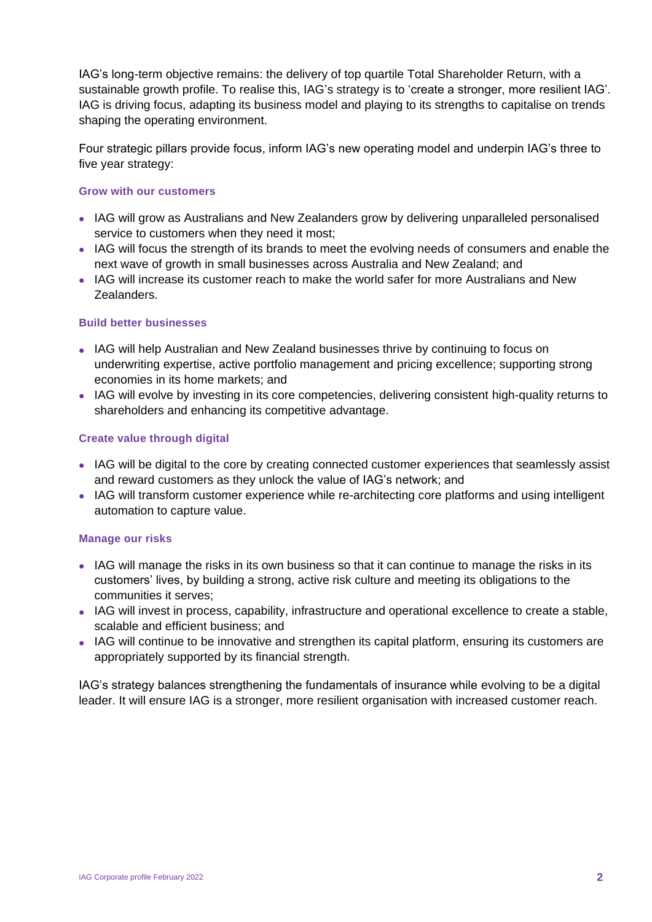IAG's long-term objective remains: the delivery of top quartile Total Shareholder Return, with a sustainable growth profile. To realise this, IAG's strategy is to 'create a stronger, more resilient IAG'. IAG is driving focus, adapting its business model and playing to its strengths to capitalise on trends shaping the operating environment.

Four strategic pillars provide focus, inform IAG's new operating model and underpin IAG's three to five year strategy:

#### **Grow with our customers**

- IAG will grow as Australians and New Zealanders grow by delivering unparalleled personalised service to customers when they need it most;
- IAG will focus the strength of its brands to meet the evolving needs of consumers and enable the next wave of growth in small businesses across Australia and New Zealand; and
- IAG will increase its customer reach to make the world safer for more Australians and New Zealanders.

#### **Build better businesses**

- IAG will help Australian and New Zealand businesses thrive by continuing to focus on underwriting expertise, active portfolio management and pricing excellence; supporting strong economies in its home markets; and
- IAG will evolve by investing in its core competencies, delivering consistent high-quality returns to shareholders and enhancing its competitive advantage.

#### **Create value through digital**

- IAG will be digital to the core by creating connected customer experiences that seamlessly assist and reward customers as they unlock the value of IAG's network; and
- IAG will transform customer experience while re-architecting core platforms and using intelligent automation to capture value.

#### **Manage our risks**

- IAG will manage the risks in its own business so that it can continue to manage the risks in its customers' lives, by building a strong, active risk culture and meeting its obligations to the communities it serves;
- IAG will invest in process, capability, infrastructure and operational excellence to create a stable, scalable and efficient business; and
- IAG will continue to be innovative and strengthen its capital platform, ensuring its customers are appropriately supported by its financial strength.

IAG's strategy balances strengthening the fundamentals of insurance while evolving to be a digital leader. It will ensure IAG is a stronger, more resilient organisation with increased customer reach.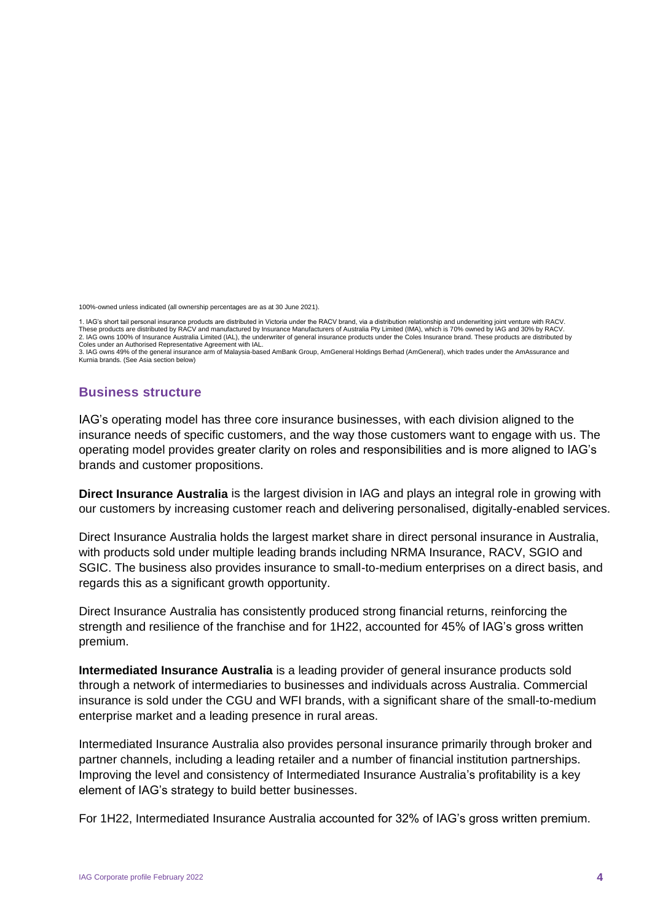100%-owned unless indicated (all ownership percentages are as at 30 June 2021).

1. IAG's short tail personal insurance products are distributed in Victoria under the RACV brand, via a distribution relationship and underwriting joint venture with RACV.<br>These products are distributed by RACV and manufac 2. IAG owns 100% of Insurance Australia Limited (IAL), the underwriter of general insurance products under the Coles Insurance brand. These products are distributed by Coles under an Authorised Representative Agreement with IAL.

3. IAG owns 49% of the general insurance arm of Malaysia-based AmBank Group, AmGeneral Holdings Berhad (AmGeneral), which trades under the AmAssurance and Kurnia brands. (See Asia section below)

# **Business structure**

IAG's operating model has three core insurance businesses, with each division aligned to the insurance needs of specific customers, and the way those customers want to engage with us. The operating model provides greater clarity on roles and responsibilities and is more aligned to IAG's brands and customer propositions.

**Direct Insurance Australia** is the largest division in IAG and plays an integral role in growing with our customers by increasing customer reach and delivering personalised, digitally-enabled services.

Direct Insurance Australia holds the largest market share in direct personal insurance in Australia, with products sold under multiple leading brands including NRMA Insurance, RACV, SGIO and SGIC. The business also provides insurance to small-to-medium enterprises on a direct basis, and regards this as a significant growth opportunity.

Direct Insurance Australia has consistently produced strong financial returns, reinforcing the strength and resilience of the franchise and for 1H22, accounted for 45% of IAG's gross written premium.

**Intermediated Insurance Australia** is a leading provider of general insurance products sold through a network of intermediaries to businesses and individuals across Australia. Commercial insurance is sold under the CGU and WFI brands, with a significant share of the small-to-medium enterprise market and a leading presence in rural areas.

Intermediated Insurance Australia also provides personal insurance primarily through broker and partner channels, including a leading retailer and a number of financial institution partnerships. Improving the level and consistency of Intermediated Insurance Australia's profitability is a key element of IAG's strategy to build better businesses.

For 1H22, Intermediated Insurance Australia accounted for 32% of IAG's gross written premium.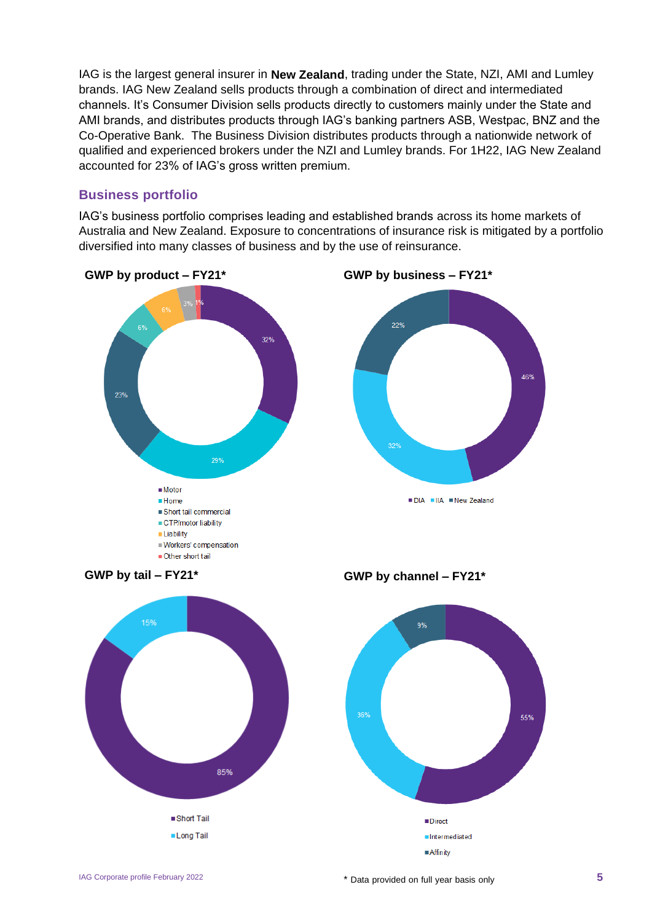IAG is the largest general insurer in **New Zealand**, trading under the State, NZI, AMI and Lumley brands. IAG New Zealand sells products through a combination of direct and intermediated channels. It's Consumer Division sells products directly to customers mainly under the State and AMI brands, and distributes products through IAG's banking partners ASB, Westpac, BNZ and the Co-Operative Bank. The Business Division distributes products through a nationwide network of qualified and experienced brokers under the NZI and Lumley brands. For 1H22, IAG New Zealand accounted for 23% of IAG's gross written premium.

# **Business portfolio**

IAG's business portfolio comprises leading and established brands across its home markets of Australia and New Zealand. Exposure to concentrations of insurance risk is mitigated by a portfolio diversified into many classes of business and by the use of reinsurance.

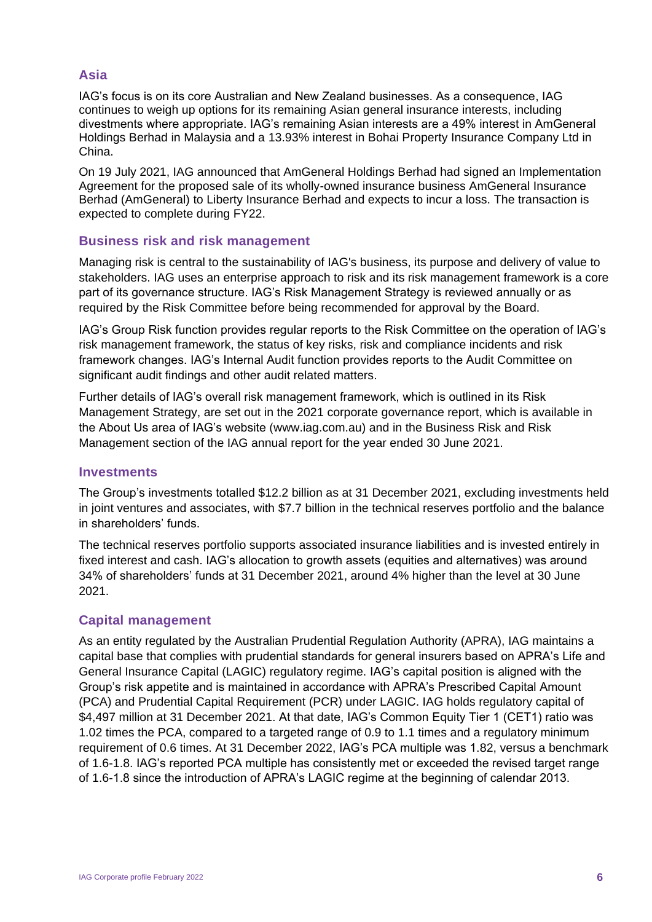# **Asia**

IAG's focus is on its core Australian and New Zealand businesses. As a consequence, IAG continues to weigh up options for its remaining Asian general insurance interests, including divestments where appropriate. IAG's remaining Asian interests are a 49% interest in AmGeneral Holdings Berhad in Malaysia and a 13.93% interest in Bohai Property Insurance Company Ltd in China.

On 19 July 2021, IAG announced that AmGeneral Holdings Berhad had signed an Implementation Agreement for the proposed sale of its wholly-owned insurance business AmGeneral Insurance Berhad (AmGeneral) to Liberty Insurance Berhad and expects to incur a loss. The transaction is expected to complete during FY22.

# **Business risk and risk management**

Managing risk is central to the sustainability of IAG's business, its purpose and delivery of value to stakeholders. IAG uses an enterprise approach to risk and its risk management framework is a core part of its governance structure. IAG's Risk Management Strategy is reviewed annually or as required by the Risk Committee before being recommended for approval by the Board.

IAG's Group Risk function provides regular reports to the Risk Committee on the operation of IAG's risk management framework, the status of key risks, risk and compliance incidents and risk framework changes. IAG's Internal Audit function provides reports to the Audit Committee on significant audit findings and other audit related matters.

Further details of IAG's overall risk management framework, which is outlined in its Risk Management Strategy, are set out in the 2021 corporate governance report, which is available in the About Us area of IAG's website [\(www.iag.com.au\)](http://www.iag.com.au/) and in the Business Risk and Risk Management section of the IAG annual report for the year ended 30 June 2021.

#### **Investments**

The Group's investments totalled \$12.2 billion as at 31 December 2021, excluding investments held in joint ventures and associates, with \$7.7 billion in the technical reserves portfolio and the balance in shareholders' funds.

The technical reserves portfolio supports associated insurance liabilities and is invested entirely in fixed interest and cash. IAG's allocation to growth assets (equities and alternatives) was around 34% of shareholders' funds at 31 December 2021, around 4% higher than the level at 30 June 2021.

#### **Capital management**

As an entity regulated by the Australian Prudential Regulation Authority (APRA), IAG maintains a capital base that complies with prudential standards for general insurers based on APRA's Life and General Insurance Capital (LAGIC) regulatory regime. IAG's capital position is aligned with the Group's risk appetite and is maintained in accordance with APRA's Prescribed Capital Amount (PCA) and Prudential Capital Requirement (PCR) under LAGIC. IAG holds regulatory capital of \$4,497 million at 31 December 2021. At that date, IAG's Common Equity Tier 1 (CET1) ratio was 1.02 times the PCA, compared to a targeted range of 0.9 to 1.1 times and a regulatory minimum requirement of 0.6 times. At 31 December 2022, IAG's PCA multiple was 1.82, versus a benchmark of 1.6-1.8. IAG's reported PCA multiple has consistently met or exceeded the revised target range of 1.6-1.8 since the introduction of APRA's LAGIC regime at the beginning of calendar 2013.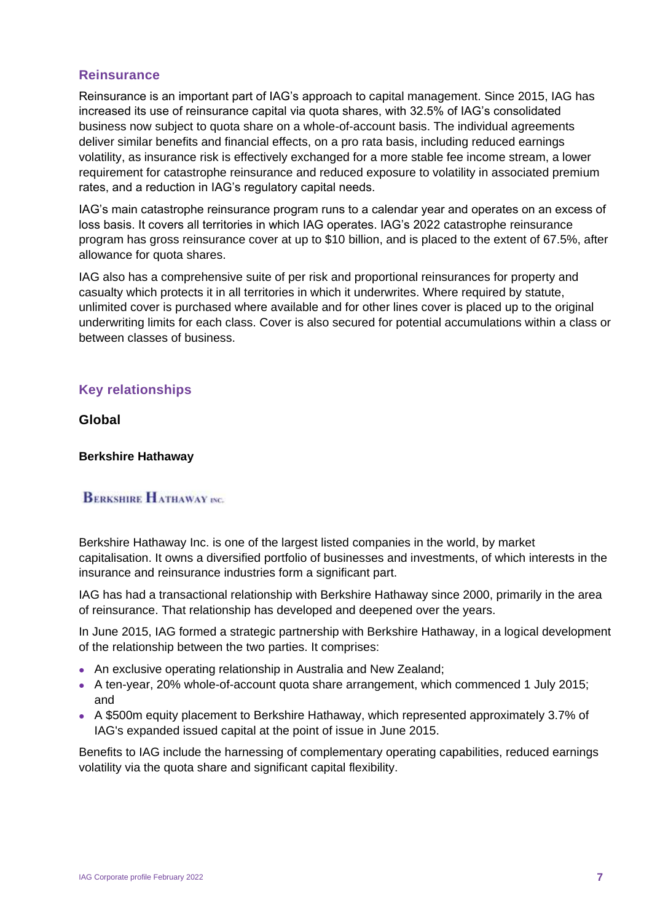#### **Reinsurance**

Reinsurance is an important part of IAG's approach to capital management. Since 2015, IAG has increased its use of reinsurance capital via quota shares, with 32.5% of IAG's consolidated business now subject to quota share on a whole-of-account basis. The individual agreements deliver similar benefits and financial effects, on a pro rata basis, including reduced earnings volatility, as insurance risk is effectively exchanged for a more stable fee income stream, a lower requirement for catastrophe reinsurance and reduced exposure to volatility in associated premium rates, and a reduction in IAG's regulatory capital needs.

IAG's main catastrophe reinsurance program runs to a calendar year and operates on an excess of loss basis. It covers all territories in which IAG operates. IAG's 2022 catastrophe reinsurance program has gross reinsurance cover at up to \$10 billion, and is placed to the extent of 67.5%, after allowance for quota shares.

IAG also has a comprehensive suite of per risk and proportional reinsurances for property and casualty which protects it in all territories in which it underwrites. Where required by statute, unlimited cover is purchased where available and for other lines cover is placed up to the original underwriting limits for each class. Cover is also secured for potential accumulations within a class or between classes of business.

# **Key relationships**

**Global**

#### **Berkshire Hathaway**

# **BERKSHIRE HATHAWAY INC.**

Berkshire Hathaway Inc. is one of the largest listed companies in the world, by market capitalisation. It owns a diversified portfolio of businesses and investments, of which interests in the insurance and reinsurance industries form a significant part.

IAG has had a transactional relationship with Berkshire Hathaway since 2000, primarily in the area of reinsurance. That relationship has developed and deepened over the years.

In June 2015, IAG formed a strategic partnership with Berkshire Hathaway, in a logical development of the relationship between the two parties. It comprises:

- An exclusive operating relationship in Australia and New Zealand;
- A ten-year, 20% whole-of-account quota share arrangement, which commenced 1 July 2015; and
- A \$500m equity placement to Berkshire Hathaway, which represented approximately 3.7% of IAG's expanded issued capital at the point of issue in June 2015.

Benefits to IAG include the harnessing of complementary operating capabilities, reduced earnings volatility via the quota share and significant capital flexibility.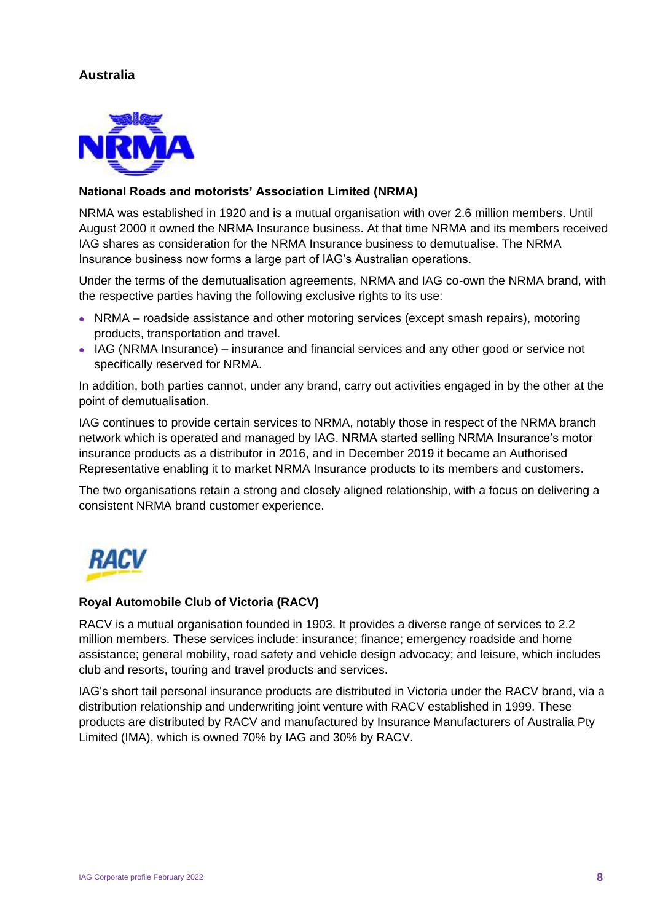# **Australia**



#### **National Roads and motorists' Association Limited (NRMA)**

NRMA was established in 1920 and is a mutual organisation with over 2.6 million members. Until August 2000 it owned the NRMA Insurance business. At that time NRMA and its members received IAG shares as consideration for the NRMA Insurance business to demutualise. The NRMA Insurance business now forms a large part of IAG's Australian operations.

Under the terms of the demutualisation agreements, NRMA and IAG co-own the NRMA brand, with the respective parties having the following exclusive rights to its use:

- NRMA roadside assistance and other motoring services (except smash repairs), motoring products, transportation and travel.
- IAG (NRMA Insurance) insurance and financial services and any other good or service not specifically reserved for NRMA.

In addition, both parties cannot, under any brand, carry out activities engaged in by the other at the point of demutualisation.

IAG continues to provide certain services to NRMA, notably those in respect of the NRMA branch network which is operated and managed by IAG. NRMA started selling NRMA Insurance's motor insurance products as a distributor in 2016, and in December 2019 it became an Authorised Representative enabling it to market NRMA Insurance products to its members and customers.

The two organisations retain a strong and closely aligned relationship, with a focus on delivering a consistent NRMA brand customer experience.



#### **Royal Automobile Club of Victoria (RACV)**

RACV is a mutual organisation founded in 1903. It provides a diverse range of services to 2.2 million members. These services include: insurance; finance; emergency roadside and home assistance; general mobility, road safety and vehicle design advocacy; and leisure, which includes club and resorts, touring and travel products and services.

IAG's short tail personal insurance products are distributed in Victoria under the RACV brand, via a distribution relationship and underwriting joint venture with RACV established in 1999. These products are distributed by RACV and manufactured by Insurance Manufacturers of Australia Pty Limited (IMA), which is owned 70% by IAG and 30% by RACV.